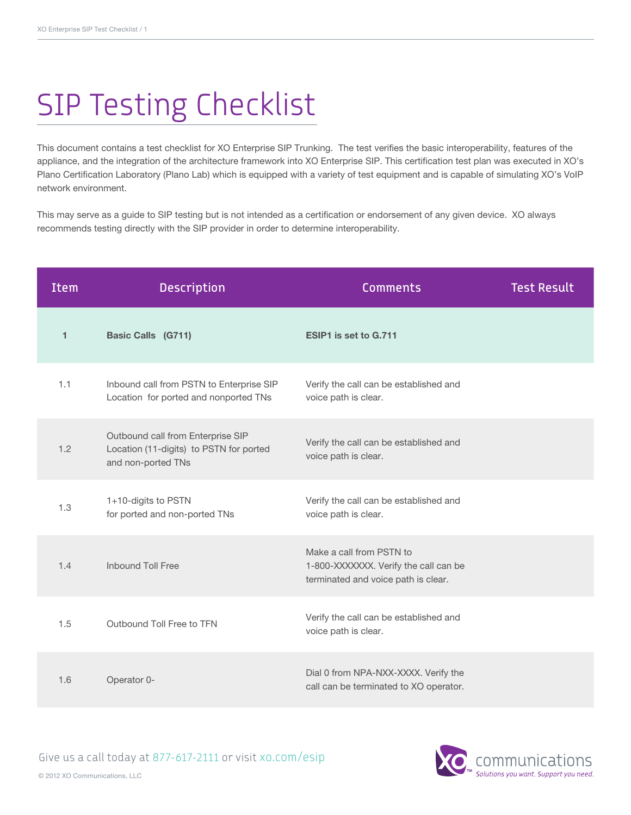## SIP Testing Checklist

This document contains a test checklist for XO Enterprise SIP Trunking. The test verifies the basic interoperability, features of the appliance, and the integration of the architecture framework into XO Enterprise SIP. This certification test plan was executed in XO's Plano Certification Laboratory (Plano Lab) which is equipped with a variety of test equipment and is capable of simulating XO's VoIP network environment.

This may serve as a guide to SIP testing but is not intended as a certification or endorsement of any given device. XO always recommends testing directly with the SIP provider in order to determine interoperability.

| <b>Item</b> | <b>Description</b>                                                                                 | <b>Comments</b>                                                                                          | <b>Test Result</b> |
|-------------|----------------------------------------------------------------------------------------------------|----------------------------------------------------------------------------------------------------------|--------------------|
| 1           | <b>Basic Calls (G711)</b>                                                                          | ESIP1 is set to G.711                                                                                    |                    |
| 1.1         | Inbound call from PSTN to Enterprise SIP<br>Location for ported and nonported TNs                  | Verify the call can be established and<br>voice path is clear.                                           |                    |
| 1.2         | Outbound call from Enterprise SIP<br>Location (11-digits) to PSTN for ported<br>and non-ported TNs | Verify the call can be established and<br>voice path is clear.                                           |                    |
| 1.3         | 1+10-digits to PSTN<br>for ported and non-ported TNs                                               | Verify the call can be established and<br>voice path is clear.                                           |                    |
| 1.4         | <b>Inbound Toll Free</b>                                                                           | Make a call from PSTN to<br>1-800-XXXXXXX. Verify the call can be<br>terminated and voice path is clear. |                    |
| 1.5         | Outbound Toll Free to TFN                                                                          | Verify the call can be established and<br>voice path is clear.                                           |                    |
| 1.6         | Operator 0-                                                                                        | Dial 0 from NPA-NXX-XXXX. Verify the<br>call can be terminated to XO operator.                           |                    |

Give us a call today at 877-617-2111 or visit [xo.com/esip](http://xo.com/esip)

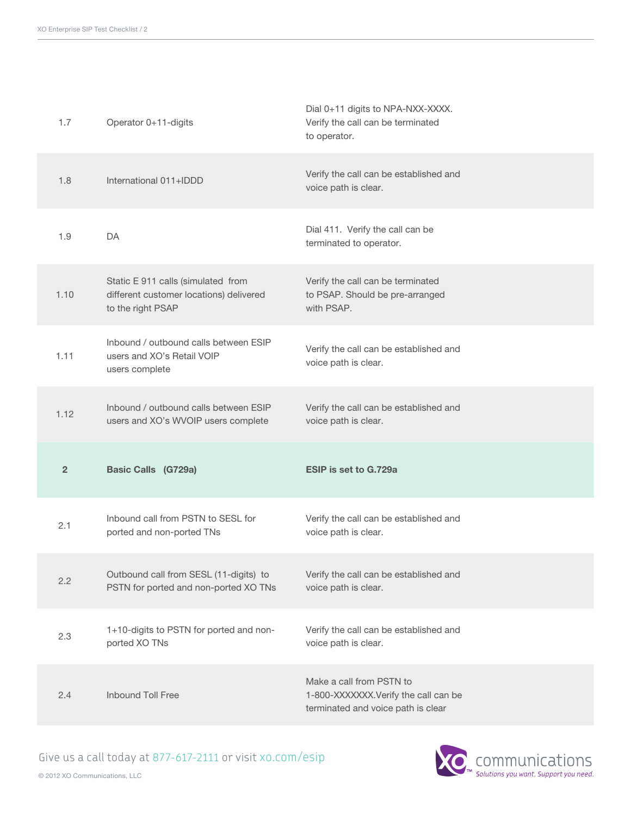| 1.7            | Operator 0+11-digits                                                                               | Dial 0+11 digits to NPA-NXX-XXXX.<br>Verify the call can be terminated<br>to operator.                 |
|----------------|----------------------------------------------------------------------------------------------------|--------------------------------------------------------------------------------------------------------|
| 1.8            | International 011+IDDD                                                                             | Verify the call can be established and<br>voice path is clear.                                         |
| 1.9            | DA                                                                                                 | Dial 411. Verify the call can be<br>terminated to operator.                                            |
| 1.10           | Static E 911 calls (simulated from<br>different customer locations) delivered<br>to the right PSAP | Verify the call can be terminated<br>to PSAP. Should be pre-arranged<br>with PSAP.                     |
| 1.11           | Inbound / outbound calls between ESIP<br>users and XO's Retail VOIP<br>users complete              | Verify the call can be established and<br>voice path is clear.                                         |
| 1.12           | Inbound / outbound calls between ESIP<br>users and XO's WVOIP users complete                       | Verify the call can be established and<br>voice path is clear.                                         |
| $\overline{2}$ | <b>Basic Calls (G729a)</b>                                                                         | ESIP is set to G.729a                                                                                  |
| 2.1            | Inbound call from PSTN to SESL for<br>ported and non-ported TNs                                    | Verify the call can be established and<br>voice path is clear.                                         |
| 2.2            | Outbound call from SESL (11-digits) to<br>PSTN for ported and non-ported XO TNs                    | Verify the call can be established and<br>voice path is clear.                                         |
| 2.3            | 1+10-digits to PSTN for ported and non-<br>ported XO TNs                                           | Verify the call can be established and<br>voice path is clear.                                         |
| 2.4            | Inbound Toll Free                                                                                  | Make a call from PSTN to<br>1-800-XXXXXXX.Verify the call can be<br>terminated and voice path is clear |

© 2012 XO Communications, LLC

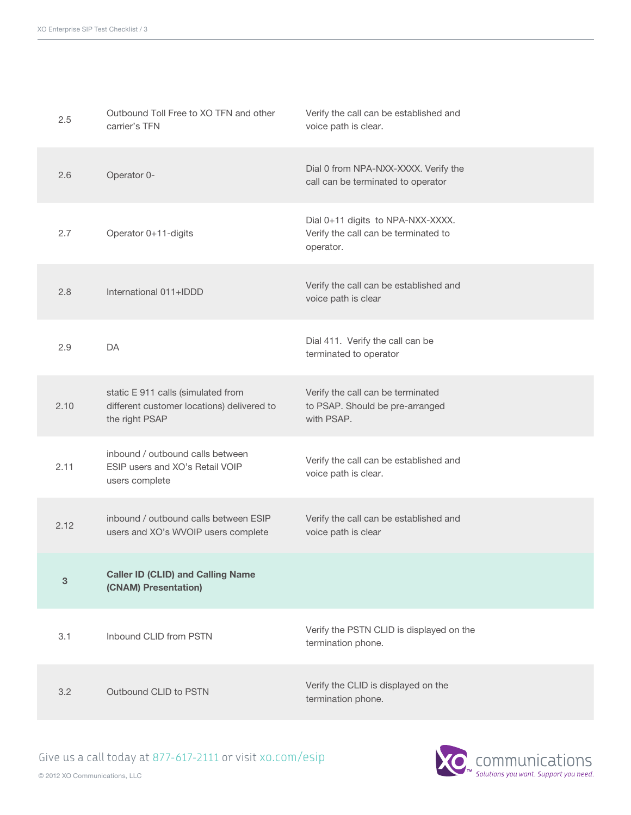| 2.5  | Outbound Toll Free to XO TFN and other<br>carrier's TFN                                            | Verify the call can be established and<br>voice path is clear.                         |
|------|----------------------------------------------------------------------------------------------------|----------------------------------------------------------------------------------------|
| 2.6  | Operator 0-                                                                                        | Dial 0 from NPA-NXX-XXXX. Verify the<br>call can be terminated to operator             |
| 2.7  | Operator 0+11-digits                                                                               | Dial 0+11 digits to NPA-NXX-XXXX.<br>Verify the call can be terminated to<br>operator. |
| 2.8  | International 011+IDDD                                                                             | Verify the call can be established and<br>voice path is clear                          |
| 2.9  | DA                                                                                                 | Dial 411. Verify the call can be<br>terminated to operator                             |
| 2.10 | static E 911 calls (simulated from<br>different customer locations) delivered to<br>the right PSAP | Verify the call can be terminated<br>to PSAP. Should be pre-arranged<br>with PSAP.     |
| 2.11 | inbound / outbound calls between<br>ESIP users and XO's Retail VOIP<br>users complete              | Verify the call can be established and<br>voice path is clear.                         |
| 2.12 | inbound / outbound calls between ESIP<br>users and XO's WVOIP users complete                       | Verify the call can be established and<br>voice path is clear                          |
| 3    | <b>Caller ID (CLID) and Calling Name</b><br>(CNAM) Presentation)                                   |                                                                                        |
| 3.1  | Inbound CLID from PSTN                                                                             | Verify the PSTN CLID is displayed on the<br>termination phone.                         |
| 3.2  | Outbound CLID to PSTN                                                                              | Verify the CLID is displayed on the<br>termination phone.                              |

© 2012 XO Communications, LLC

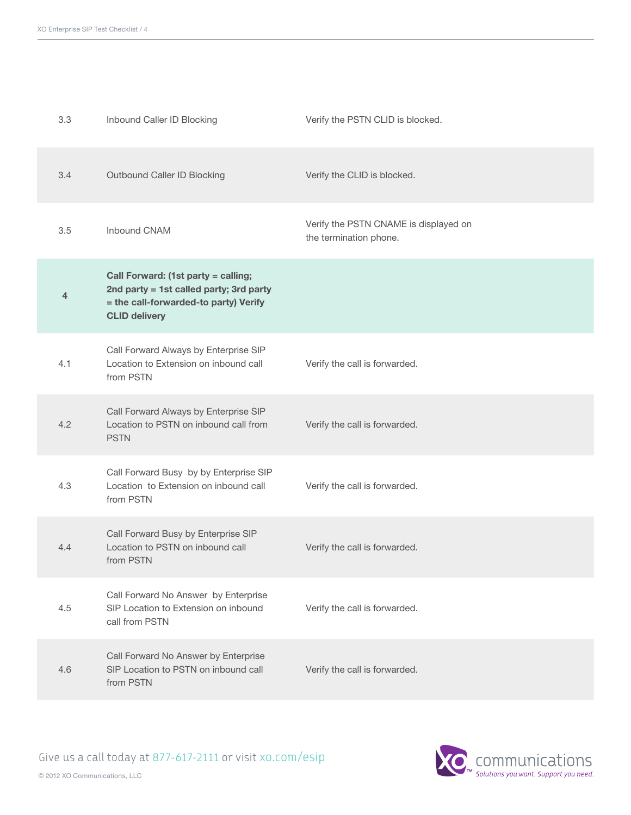| 3.3 | Inbound Caller ID Blocking                                                                                                                      | Verify the PSTN CLID is blocked.                                |
|-----|-------------------------------------------------------------------------------------------------------------------------------------------------|-----------------------------------------------------------------|
| 3.4 | Outbound Caller ID Blocking                                                                                                                     | Verify the CLID is blocked.                                     |
| 3.5 | Inbound CNAM                                                                                                                                    | Verify the PSTN CNAME is displayed on<br>the termination phone. |
| 4   | Call Forward: (1st party = calling;<br>2nd party = 1st called party; 3rd party<br>= the call-forwarded-to party) Verify<br><b>CLID delivery</b> |                                                                 |
| 4.1 | Call Forward Always by Enterprise SIP<br>Location to Extension on inbound call<br>from PSTN                                                     | Verify the call is forwarded.                                   |
| 4.2 | Call Forward Always by Enterprise SIP<br>Location to PSTN on inbound call from<br><b>PSTN</b>                                                   | Verify the call is forwarded.                                   |
| 4.3 | Call Forward Busy by by Enterprise SIP<br>Location to Extension on inbound call<br>from PSTN                                                    | Verify the call is forwarded.                                   |
| 4.4 | Call Forward Busy by Enterprise SIP<br>Location to PSTN on inbound call<br>from PSTN                                                            | Verify the call is forwarded.                                   |
| 4.5 | Call Forward No Answer by Enterprise<br>SIP Location to Extension on inbound<br>call from PSTN                                                  | Verify the call is forwarded.                                   |
| 4.6 | Call Forward No Answer by Enterprise<br>SIP Location to PSTN on inbound call<br>from PSTN                                                       | Verify the call is forwarded.                                   |

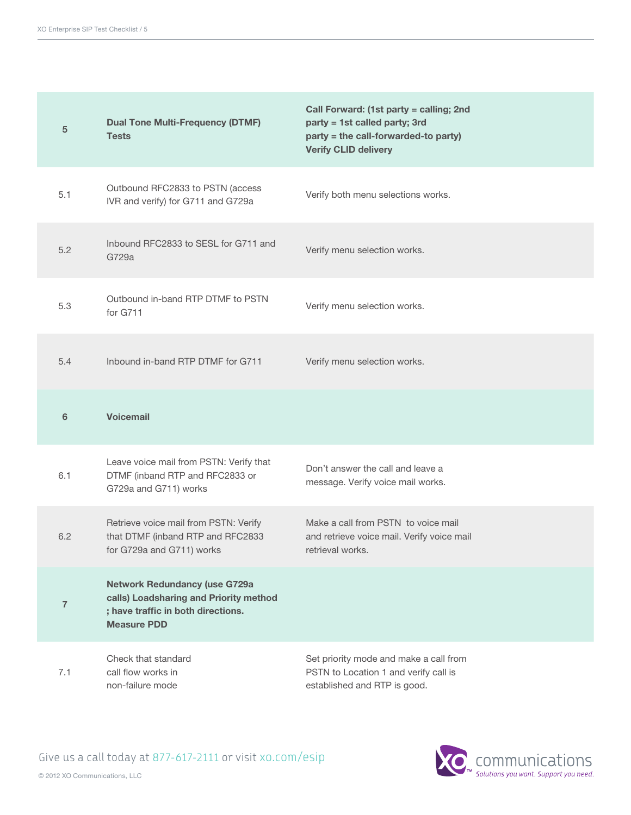| 5              | <b>Dual Tone Multi-Frequency (DTMF)</b><br><b>Tests</b>                                                                                    | Call Forward: (1st party = calling; 2nd<br>party = 1st called party; 3rd<br>party = the call-forwarded-to party)<br><b>Verify CLID delivery</b> |
|----------------|--------------------------------------------------------------------------------------------------------------------------------------------|-------------------------------------------------------------------------------------------------------------------------------------------------|
| 5.1            | Outbound RFC2833 to PSTN (access<br>IVR and verify) for G711 and G729a                                                                     | Verify both menu selections works.                                                                                                              |
| 5.2            | Inbound RFC2833 to SESL for G711 and<br>G729a                                                                                              | Verify menu selection works.                                                                                                                    |
| 5.3            | Outbound in-band RTP DTMF to PSTN<br>for G711                                                                                              | Verify menu selection works.                                                                                                                    |
| 5.4            | Inbound in-band RTP DTMF for G711                                                                                                          | Verify menu selection works.                                                                                                                    |
| 6              | <b>Voicemail</b>                                                                                                                           |                                                                                                                                                 |
| 6.1            | Leave voice mail from PSTN: Verify that<br>DTMF (inband RTP and RFC2833 or<br>G729a and G711) works                                        | Don't answer the call and leave a<br>message. Verify voice mail works.                                                                          |
| 6.2            | Retrieve voice mail from PSTN: Verify<br>that DTMF (inband RTP and RFC2833<br>for G729a and G711) works                                    | Make a call from PSTN to voice mail<br>and retrieve voice mail. Verify voice mail<br>retrieval works.                                           |
| $\overline{7}$ | <b>Network Redundancy (use G729a</b><br>calls) Loadsharing and Priority method<br>; have traffic in both directions.<br><b>Measure PDD</b> |                                                                                                                                                 |
| 7.1            | Check that standard                                                                                                                        | Set priority mode and make a call from                                                                                                          |

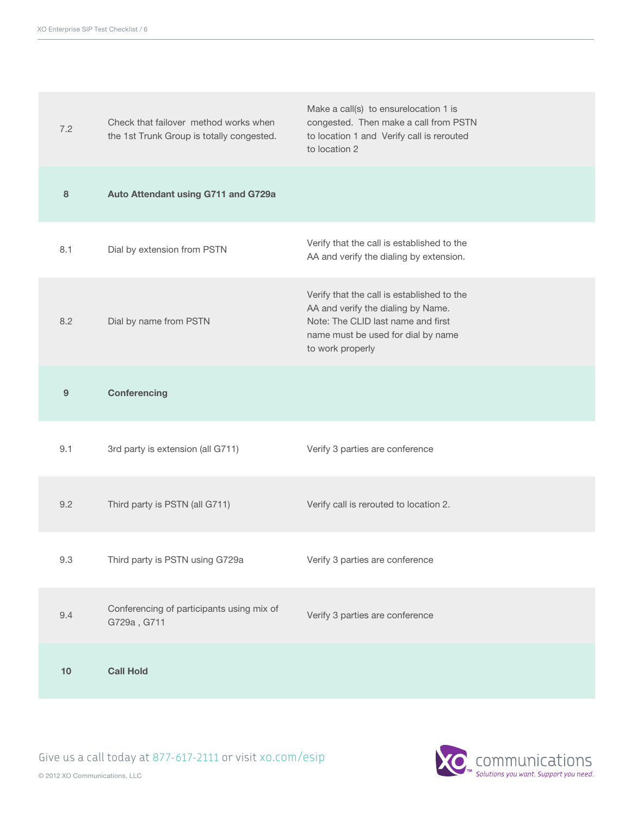| 7.2 | Check that failover method works when<br>the 1st Trunk Group is totally congested. | Make a call(s) to ensurelocation 1 is<br>congested. Then make a call from PSTN<br>to location 1 and Verify call is rerouted<br>to location 2                                     |
|-----|------------------------------------------------------------------------------------|----------------------------------------------------------------------------------------------------------------------------------------------------------------------------------|
| 8   | Auto Attendant using G711 and G729a                                                |                                                                                                                                                                                  |
| 8.1 | Dial by extension from PSTN                                                        | Verify that the call is established to the<br>AA and verify the dialing by extension.                                                                                            |
| 8.2 | Dial by name from PSTN                                                             | Verify that the call is established to the<br>AA and verify the dialing by Name.<br>Note: The CLID last name and first<br>name must be used for dial by name<br>to work properly |
| 9   | <b>Conferencing</b>                                                                |                                                                                                                                                                                  |
| 9.1 | 3rd party is extension (all G711)                                                  | Verify 3 parties are conference                                                                                                                                                  |
| 9.2 | Third party is PSTN (all G711)                                                     | Verify call is rerouted to location 2.                                                                                                                                           |
| 9.3 | Third party is PSTN using G729a                                                    | Verify 3 parties are conference                                                                                                                                                  |
| 9.4 | Conferencing of participants using mix of<br>G729a, G711                           | Verify 3 parties are conference                                                                                                                                                  |
| 10  | <b>Call Hold</b>                                                                   |                                                                                                                                                                                  |

Communications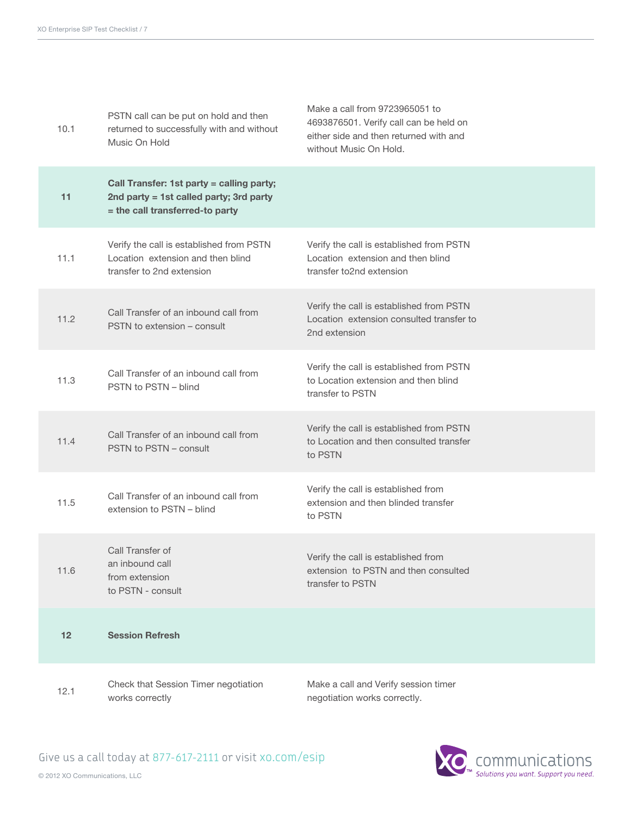| 10.1 | PSTN call can be put on hold and then<br>returned to successfully with and without<br>Music On Hold                     | Make a call from 9723965051 to<br>4693876501. Verify call can be held on<br>either side and then returned with and<br>without Music On Hold. |
|------|-------------------------------------------------------------------------------------------------------------------------|----------------------------------------------------------------------------------------------------------------------------------------------|
| 11   | Call Transfer: 1st party = calling party;<br>2nd party = 1st called party; 3rd party<br>= the call transferred-to party |                                                                                                                                              |
| 11.1 | Verify the call is established from PSTN<br>Location extension and then blind<br>transfer to 2nd extension              | Verify the call is established from PSTN<br>Location extension and then blind<br>transfer to2nd extension                                    |
| 11.2 | Call Transfer of an inbound call from<br>PSTN to extension - consult                                                    | Verify the call is established from PSTN<br>Location extension consulted transfer to<br>2nd extension                                        |
| 11.3 | Call Transfer of an inbound call from<br>PSTN to PSTN - blind                                                           | Verify the call is established from PSTN<br>to Location extension and then blind<br>transfer to PSTN                                         |
| 11.4 | Call Transfer of an inbound call from<br>PSTN to PSTN - consult                                                         | Verify the call is established from PSTN<br>to Location and then consulted transfer<br>to PSTN                                               |
| 11.5 | Call Transfer of an inbound call from<br>extension to PSTN - blind                                                      | Verify the call is established from<br>extension and then blinded transfer<br>to PSTN                                                        |
| 11.6 | Call Transfer of<br>an inbound call<br>from extension<br>to PSTN - consult                                              | Verify the call is established from<br>extension to PSTN and then consulted<br>transfer to PSTN                                              |
| 12   | <b>Session Refresh</b>                                                                                                  |                                                                                                                                              |
| 12.1 | Check that Session Timer negotiation<br>works correctly                                                                 | Make a call and Verify session timer<br>negotiation works correctly.                                                                         |